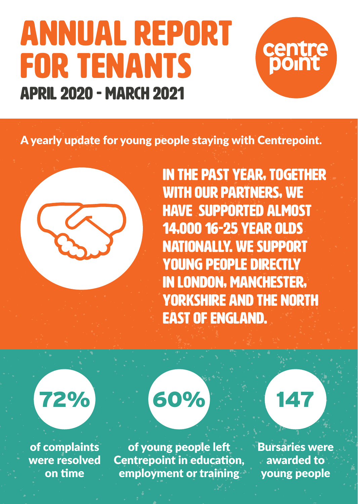### Annual report for tenants April 2020 - March 2021



A yearly update for young people staying with Centrepoint.

In the past year, together with our partners, we have supported almost 14,000 16-25 year olds nationally. We support young people directly in London, Manchester, Yorkshire and the North East of England.

## 72% 60% 147

of complaints were resolved on time

of young people left Centrepoint in education, employment or training

Bursaries were awarded to young people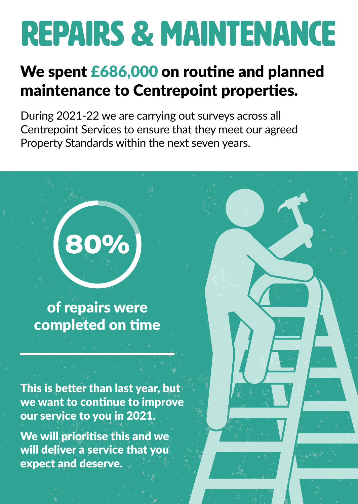## Repairs & maintenance

#### We spent £686,000 on routine and planned maintenance to Centrepoint properties.

During 2021-22 we are carrying out surveys across all Centrepoint Services to ensure that they meet our agreed Property Standards within the next seven years.



of repairs were completed on time

This is better than last year, but we want to continue to improve our service to you in 2021.

We will prioritise this and we will deliver a service that you expect and deserve.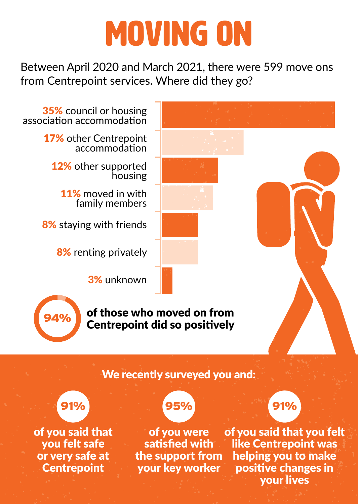## moving on

Between April 2020 and March 2021, there were 599 move ons from Centrepoint services. Where did they go?

35% council or housing association accommodation

17% other Centrepoint accommodation

12% other supported housing

11% moved in with family members

8% staving with friends

8% renting privately

3% unknown



of those who moved on from Centrepoint did so positively

#### We recently surveyed you and:

### 91% 95%

of you said that you felt safe or very safe at **Centrepoint** 



of you were satisfied with the support from your key worker



of you said that you felt like Centrepoint was helping you to make positive changes in your lives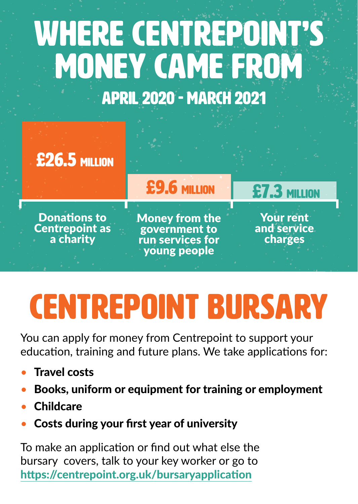## WHERE CENTREPOINT'S MONEY came FROM april 2020 - March 2021



£26.5 million

Money from the government to run services for young people

£9.6 million

Your rent and service charges

£7.3 million

# CENTREPOINT Bursary

You can apply for money from Centrepoint to support your education, training and future plans. We take applications for:

- **Travel costs**
- Books, uniform or equipment for training or employment
- **Childcare**
- Costs during your first year of university

To make an application or find out what else the bursary covers, talk to your key worker or go to <https://centrepoint.org.uk/bursaryapplication>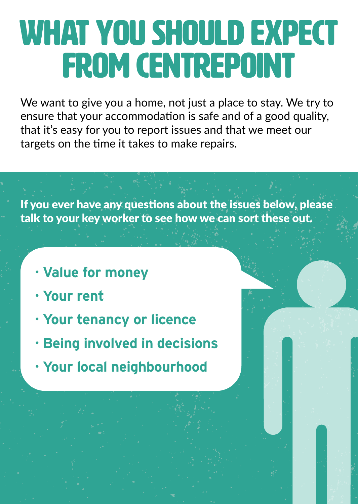## What you should expect from Centrepoint

We want to give you a home, not just a place to stay. We try to ensure that your accommodation is safe and of a good quality, that it's easy for you to report issues and that we meet our targets on the time it takes to make repairs.

If you ever have any questions about the issues below, please talk to your key worker to see how we can sort these out.

- **· Value for money**
- **· Your rent**
- **· Your tenancy or licence**
- **· Being involved in decisions**
- **· Your local neighbourhood**